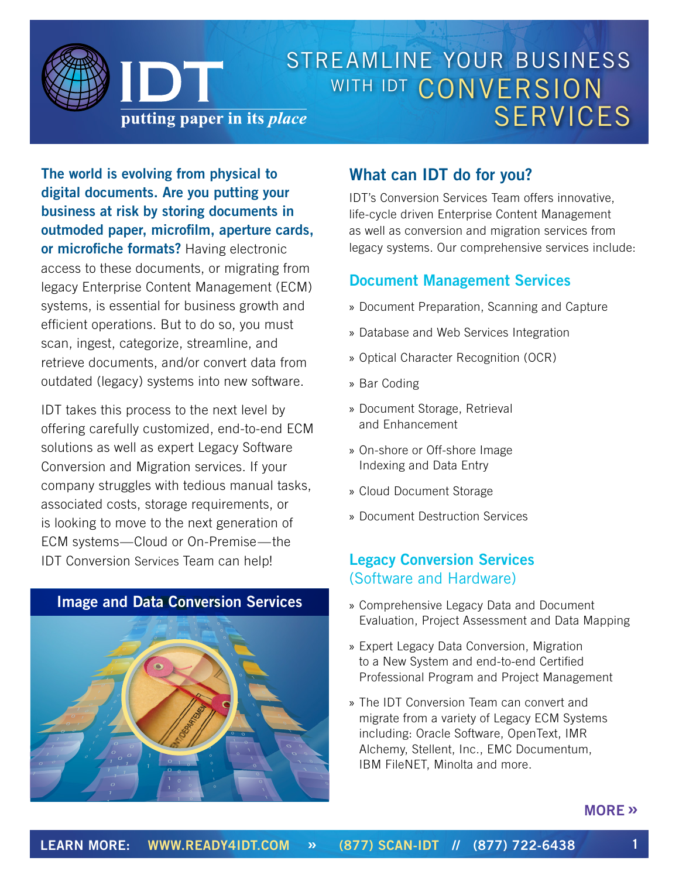

**The world is evolving from physical to digital documents. Are you putting your business at risk by storing documents in outmoded paper, microfilm, aperture cards, or microfiche formats?** Having electronic access to these documents, or migrating from legacy Enterprise Content Management (ECM) systems, is essential for business growth and efficient operations. But to do so, you must scan, ingest, categorize, streamline, and retrieve documents, and/or convert data from outdated (legacy) systems into new software.

IDT takes this process to the next level by offering carefully customized, end-to-end ECM solutions as well as expert Legacy Software Conversion and Migration services. If your company struggles with tedious manual tasks, associated costs, storage requirements, or is looking to move to the next generation of ECM systems—Cloud or On-Premise—the IDT Conversion Services Team can help!

0



## **What can IDT do for you?**

IDT's Conversion Services Team offers innovative, life-cycle driven Enterprise Content Management as well as conversion and migration services from legacy systems. Our comprehensive services include:

#### **Document Management Services**

- » Document Preparation, Scanning and Capture
- » Database and Web Services Integration
- » Optical Character Recognition (OCR)
- » Bar Coding
- » Document Storage, Retrieval and Enhancement
- » On-shore or Off-shore Image Indexing and Data Entry
- » Cloud Document Storage
- » Document Destruction Services

### **Legacy Conversion Services**  (Software and Hardware)

- » Comprehensive Legacy Data and Document Evaluation, Project Assessment and Data Mapping
- » Expert Legacy Data Conversion, Migration to a New System and end-to-end Certified Professional Program and Project Management
- » The IDT Conversion Team can convert and migrate from a variety of Legacy ECM Systems including: Oracle Software, OpenText, IMR Alchemy, Stellent, Inc., EMC Documentum, IBM FileNET, Minolta and more.

#### **MORE »**